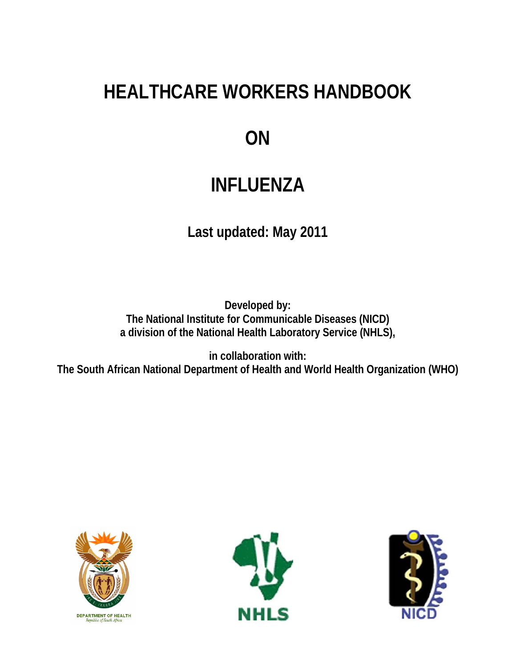# **HEALTHCARE WORKERS HANDBOOK**

# **ON**

# **INFLUENZA**

**Last updated: May 2011** 

**Developed by: The National Institute for Communicable Diseases (NICD) a division of the National Health Laboratory Service (NHLS),** 

**in collaboration with: The South African National Department of Health and World Health Organization (WHO)** 





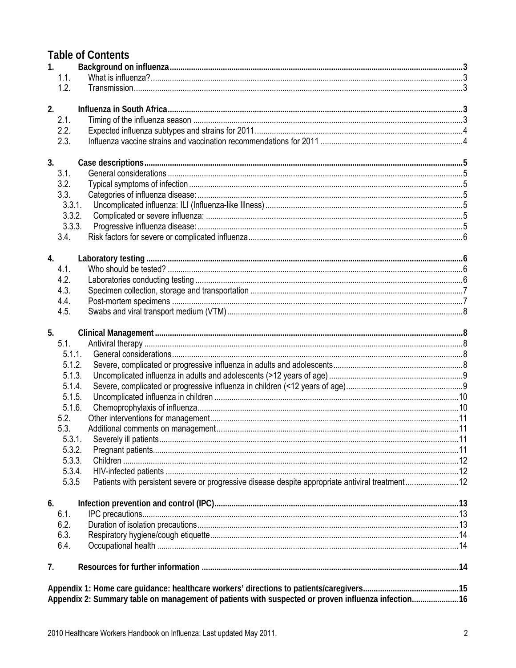# **Table of Contents**

| 1. |                                                                                                           |      |
|----|-----------------------------------------------------------------------------------------------------------|------|
|    | 1.1.                                                                                                      |      |
|    | 1.2.                                                                                                      |      |
|    |                                                                                                           |      |
| 2. |                                                                                                           |      |
|    | 2.1.                                                                                                      |      |
|    | 2.2.                                                                                                      |      |
|    | 2.3.                                                                                                      |      |
| 3. |                                                                                                           |      |
|    | 3.1.                                                                                                      |      |
|    | 3.2.                                                                                                      |      |
|    | 3.3.                                                                                                      |      |
|    | 3.3.1.                                                                                                    |      |
|    | 3.3.2.                                                                                                    |      |
|    | 3.3.3.                                                                                                    |      |
|    | 3.4.                                                                                                      |      |
| 4. |                                                                                                           |      |
|    | 4.1.                                                                                                      |      |
|    | 4.2.                                                                                                      |      |
|    | 4.3.                                                                                                      |      |
|    | 4.4.                                                                                                      |      |
|    | 4.5.                                                                                                      |      |
|    |                                                                                                           |      |
| 5. |                                                                                                           |      |
|    | 5.1.                                                                                                      |      |
|    | 5.1.1.                                                                                                    |      |
|    | 5.1.2.                                                                                                    |      |
|    | 5.1.3.                                                                                                    |      |
|    | 5.1.4.                                                                                                    |      |
|    | 5.1.5.                                                                                                    |      |
|    | 5.1.6.                                                                                                    |      |
|    | 5.2.                                                                                                      |      |
|    | 5.3.                                                                                                      |      |
|    | 5.3.1.<br>Severely ill patients.                                                                          | . 11 |
|    | 5.3.2.                                                                                                    |      |
|    | 5.3.3.                                                                                                    |      |
|    | 5.3.4.                                                                                                    |      |
|    | Patients with persistent severe or progressive disease despite appropriate antiviral treatment12<br>5.3.5 |      |
| 6. |                                                                                                           |      |
|    | 6.1.                                                                                                      |      |
|    | 6.2.                                                                                                      |      |
|    | 6.3.                                                                                                      |      |
|    | 6.4.                                                                                                      |      |
| 7. |                                                                                                           |      |
|    |                                                                                                           |      |
|    |                                                                                                           |      |
|    | Appendix 2: Summary table on management of patients with suspected or proven influenza infection16        |      |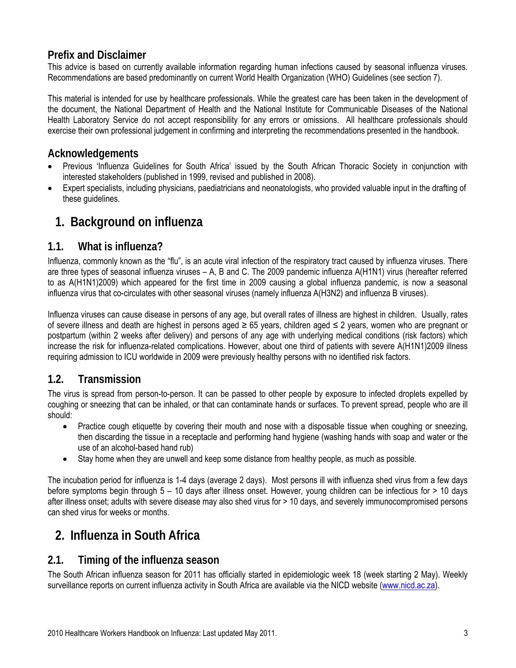## **Prefix and Disclaimer**

This advice is based on currently available information regarding human infections caused by seasonal influenza viruses. Recommendations are based predominantly on current World Health Organization (WHO) Guidelines (see section 7).

This material is intended for use by healthcare professionals. While the greatest care has been taken in the development of the document, the National Department of Health and the National Institute for Communicable Diseases of the National Health Laboratory Service do not accept responsibility for any errors or omissions. All healthcare professionals should exercise their own professional judgement in confirming and interpreting the recommendations presented in the handbook.

### **Acknowledgements**

- Previous 'Influenza Guidelines for South Africa' issued by the South African Thoracic Society in conjunction with interested stakeholders (published in 1999, revised and published in 2008).
- Expert specialists, including physicians, paediatricians and neonatologists, who provided valuable input in the drafting of these guidelines.

# <span id="page-2-0"></span>**1. Background on influenza**

### <span id="page-2-1"></span>**1.1. What is influenza?**

Influenza, commonly known as the "flu", is an acute viral infection of the respiratory tract caused by influenza viruses. There are three types of seasonal influenza viruses – A, B and C. The 2009 pandemic influenza A(H1N1) virus (hereafter referred to as A(H1N1)2009) which appeared for the first time in 2009 causing a global influenza pandemic, is now a seasonal influenza virus that co-circulates with other seasonal viruses (namely influenza A(H3N2) and influenza B viruses).

Influenza viruses can cause disease in persons of any age, but overall rates of illness are highest in children. Usually, rates of severe illness and death are highest in persons aged ≥ 65 years, children aged ≤ 2 years, women who are pregnant or postpartum (within 2 weeks after delivery) and persons of any age with underlying medical conditions (risk factors) which increase the risk for influenza-related complications. However, about one third of patients with severe A(H1N1)2009 illness requiring admission to ICU worldwide in 2009 were previously healthy persons with no identified risk factors.

# <span id="page-2-2"></span>**1.2. Transmission**

The virus is spread from person-to-person. It can be passed to other people by exposure to infected droplets expelled by coughing or sneezing that can be inhaled, or that can contaminate hands or surfaces. To prevent spread, people who are ill should:

- Practice cough etiquette by covering their mouth and nose with a disposable tissue when coughing or sneezing, then discarding the tissue in a receptacle and performing hand hygiene (washing hands with soap and water or the use of an alcohol-based hand rub)
- Stay home when they are unwell and keep some distance from healthy people, as much as possible.

The incubation period for influenza is 1-4 days (average 2 days). Most persons ill with influenza shed virus from a few days before symptoms begin through 5 – 10 days after illness onset. However, young children can be infectious for > 10 days after illness onset; adults with severe disease may also shed virus for > 10 days, and severely immunocompromised persons can shed virus for weeks or months.

# **2. Influenza in South Africa**

### <span id="page-2-4"></span><span id="page-2-3"></span>**2.1. Timing of the influenza season**

The South African influenza season for 2011 has officially started in epidemiologic week 18 (week starting 2 May). Weekly surveillance reports on current influenza activity in South Africa are available via the NICD website ([www.nicd.ac.za](http://www.nicd.ac.za/)).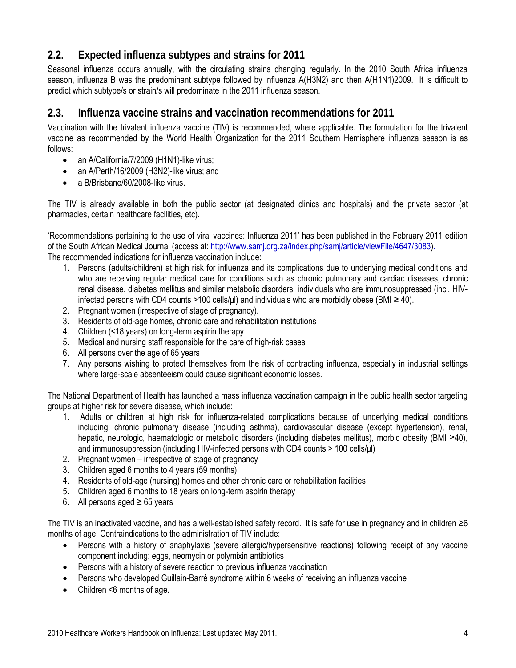# <span id="page-3-0"></span>**2.2. Expected influenza subtypes and strains for 2011**

Seasonal influenza occurs annually, with the circulating strains changing regularly. In the 2010 South Africa influenza season, influenza B was the predominant subtype followed by influenza A(H3N2) and then A(H1N1)2009. It is difficult to predict which subtype/s or strain/s will predominate in the 2011 influenza season.

### <span id="page-3-1"></span>**2.3. Influenza vaccine strains and vaccination recommendations for 2011**

Vaccination with the trivalent influenza vaccine (TIV) is recommended, where applicable. The formulation for the trivalent vaccine as recommended by the World Health Organization for the 2011 Southern Hemisphere influenza season is as follows:

- an A/California/7/2009 (H1N1)-like virus;
- an A/Perth/16/2009 (H3N2)-like virus; and
- a B/Brisbane/60/2008-like virus.

The TIV is already available in both the public sector (at designated clinics and hospitals) and the private sector (at pharmacies, certain healthcare facilities, etc).

'Recommendations pertaining to the use of viral vaccines: Influenza 2011' has been published in the February 2011 edition of the South African Medical Journal (access at: http://www.samj.org.za/index.php/samj/article/viewFile/4647/3083). The recommended indications for influenza vaccination include:

- 1. Persons (adults/children) at high risk for influenza and its complications due to underlying medical conditions and who are receiving regular medical care for conditions such as chronic pulmonary and cardiac diseases, chronic renal disease, diabetes mellitus and similar metabolic disorders, individuals who are immunosuppressed (incl. HIVinfected persons with CD4 counts >100 cells/ $\mu$ l) and individuals who are morbidly obese (BMI  $\geq$  40).
- 2. Pregnant women (irrespective of stage of pregnancy).
- 3. Residents of old-age homes, chronic care and rehabilitation institutions
- 4. Children (<18 years) on long-term aspirin therapy
- 5. Medical and nursing staff responsible for the care of high-risk cases
- 6. All persons over the age of 65 years
- 7. Any persons wishing to protect themselves from the risk of contracting influenza, especially in industrial settings where large-scale absenteeism could cause significant economic losses.

The National Department of Health has launched a mass influenza vaccination campaign in the public health sector targeting groups at higher risk for severe disease, which include:

- 1. Adults or children at high risk for influenza-related complications because of underlying medical conditions including: chronic pulmonary disease (including asthma), cardiovascular disease (except hypertension), renal, hepatic, neurologic, haematologic or metabolic disorders (including diabetes mellitus), morbid obesity (BMI ≥40), and immunosuppression (including HIV-infected persons with CD4 counts > 100 cells/μl)
- 2. Pregnant women irrespective of stage of pregnancy
- 3. Children aged 6 months to 4 years (59 months)
- 4. Residents of old-age (nursing) homes and other chronic care or rehabilitation facilities
- 5. Children aged 6 months to 18 years on long-term aspirin therapy
- 6. All persons aged ≥ 65 years

The TIV is an inactivated vaccine, and has a well-established safety record. It is safe for use in pregnancy and in children ≥6 months of age. Contraindications to the administration of TIV include:

- Persons with a history of anaphylaxis (severe allergic/hypersensitive reactions) following receipt of any vaccine component including: eggs, neomycin or polymixin antibiotics
- Persons with a history of severe reaction to previous influenza vaccination
- Persons who developed Guillain-Barrè syndrome within 6 weeks of receiving an influenza vaccine
- Children <6 months of age.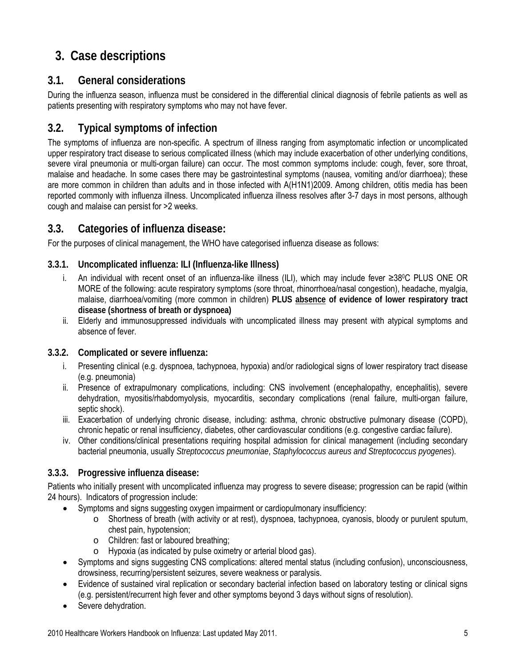# <span id="page-4-0"></span>**3. Case descriptions**

# <span id="page-4-1"></span>**3.1. General considerations**

During the influenza season, influenza must be considered in the differential clinical diagnosis of febrile patients as well as patients presenting with respiratory symptoms who may not have fever.

# <span id="page-4-2"></span>**3.2. Typical symptoms of infection**

The symptoms of influenza are non-specific. A spectrum of illness ranging from asymptomatic infection or uncomplicated upper respiratory tract disease to serious complicated illness (which may include exacerbation of other underlying conditions, severe viral pneumonia or multi-organ failure) can occur. The most common symptoms include: cough, fever, sore throat, malaise and headache. In some cases there may be gastrointestinal symptoms (nausea, vomiting and/or diarrhoea); these are more common in children than adults and in those infected with A(H1N1)2009. Among children, otitis media has been reported commonly with influenza illness. Uncomplicated influenza illness resolves after 3-7 days in most persons, although cough and malaise can persist for >2 weeks.

# <span id="page-4-3"></span>**3.3. Categories of influenza disease:**

For the purposes of clinical management, the WHO have categorised influenza disease as follows:

### <span id="page-4-4"></span>**3.3.1. Uncomplicated influenza: ILI (Influenza-like Illness)**

- i. An individual with recent onset of an influenza-like illness (ILI), which may include fever ≥380C PLUS ONE OR MORE of the following: acute respiratory symptoms (sore throat, rhinorrhoea/nasal congestion), headache, myalgia, malaise, diarrhoea/vomiting (more common in children) **PLUS absence of evidence of lower respiratory tract disease (shortness of breath or dyspnoea)**
- ii. Elderly and immunosuppressed individuals with uncomplicated illness may present with atypical symptoms and absence of fever.

### <span id="page-4-5"></span>**3.3.2. Complicated or severe influenza:**

- i. Presenting clinical (e.g. dyspnoea, tachypnoea, hypoxia) and/or radiological signs of lower respiratory tract disease (e.g. pneumonia)
- ii. Presence of extrapulmonary complications, including: CNS involvement (encephalopathy, encephalitis), severe dehydration, myositis/rhabdomyolysis, myocarditis, secondary complications (renal failure, multi-organ failure, septic shock).
- iii. Exacerbation of underlying chronic disease, including: asthma, chronic obstructive pulmonary disease (COPD), chronic hepatic or renal insufficiency, diabetes, other cardiovascular conditions (e.g. congestive cardiac failure).
- iv. Other conditions/clinical presentations requiring hospital admission for clinical management (including secondary bacterial pneumonia, usually *Streptococcus pneumoniae*, *Staphylococcus aureus and Streptococcus pyogenes*).

### <span id="page-4-6"></span>**3.3.3. Progressive influenza disease:**

Patients who initially present with uncomplicated influenza may progress to severe disease; progression can be rapid (within 24 hours). Indicators of progression include:

- Symptoms and signs suggesting oxygen impairment or cardiopulmonary insufficiency:
	- o Shortness of breath (with activity or at rest), dyspnoea, tachypnoea, cyanosis, bloody or purulent sputum, chest pain, hypotension;
	- o Children: fast or laboured breathing;
	- o Hypoxia (as indicated by pulse oximetry or arterial blood gas).
- Symptoms and signs suggesting CNS complications: altered mental status (including confusion), unconsciousness, drowsiness, recurring/persistent seizures, severe weakness or paralysis.
- Evidence of sustained viral replication or secondary bacterial infection based on laboratory testing or clinical signs (e.g. persistent/recurrent high fever and other symptoms beyond 3 days without signs of resolution).
- Severe dehydration.

2010 Healthcare Workers Handbook on Influenza: Last updated May 2011. 5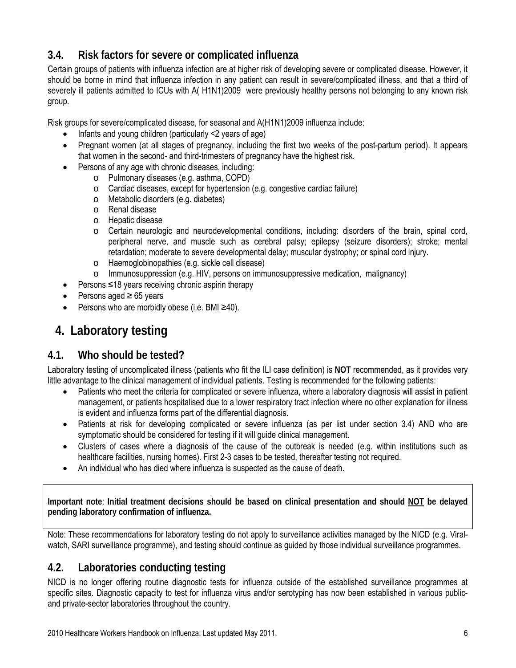# <span id="page-5-0"></span>**3.4. Risk factors for severe or complicated influenza**

Certain groups of patients with influenza infection are at higher risk of developing severe or complicated disease. However, it should be borne in mind that influenza infection in any patient can result in severe/complicated illness, and that a third of severely ill patients admitted to ICUs with A( H1N1)2009 were previously healthy persons not belonging to any known risk group.

Risk groups for severe/complicated disease, for seasonal and A(H1N1)2009 influenza include:

- Infants and young children (particularly <2 years of age)
- Pregnant women (at all stages of pregnancy, including the first two weeks of the post-partum period). It appears that women in the second- and third-trimesters of pregnancy have the highest risk.
- Persons of any age with chronic diseases, including:
	- o Pulmonary diseases (e.g. asthma, COPD)
	- o Cardiac diseases, except for hypertension (e.g. congestive cardiac failure)
	- o Metabolic disorders (e.g. diabetes)
	- o Renal disease
	- o Hepatic disease
	- o Certain neurologic and neurodevelopmental conditions, including: disorders of the brain, spinal cord, peripheral nerve, and muscle such as cerebral palsy; epilepsy (seizure disorders); stroke; mental retardation; moderate to severe developmental delay; muscular dystrophy; or spinal cord injury.
	- o Haemoglobinopathies (e.g. sickle cell disease)
	- o Immunosuppression (e.g. HIV, persons on immunosuppressive medication, malignancy)
- Persons ≤18 years receiving chronic aspirin therapy
- Persons aged  $\geq 65$  years
- Persons who are morbidly obese (i.e. BMI ≥40).

# **4. Laboratory testing**

# <span id="page-5-2"></span><span id="page-5-1"></span>**4.1. Who should be tested?**

Laboratory testing of uncomplicated illness (patients who fit the ILI case definition) is **NOT** recommended, as it provides very little advantage to the clinical management of individual patients. Testing is recommended for the following patients:

- Patients who meet the criteria for complicated or severe influenza, where a laboratory diagnosis will assist in patient management, or patients hospitalised due to a lower respiratory tract infection where no other explanation for illness is evident and influenza forms part of the differential diagnosis.
- Patients at risk for developing complicated or severe influenza (as per list under section 3.4) AND who are symptomatic should be considered for testing if it will guide clinical management.
- Clusters of cases where a diagnosis of the cause of the outbreak is needed (e.g. within institutions such as healthcare facilities, nursing homes). First 2-3 cases to be tested, thereafter testing not required.
- An individual who has died where influenza is suspected as the cause of death.

**Important note**: **Initial treatment decisions should be based on clinical presentation and should NOT be delayed pending laboratory confirmation of influenza.**

Note: These recommendations for laboratory testing do not apply to surveillance activities managed by the NICD (e.g. Viralwatch, SARI surveillance programme), and testing should continue as guided by those individual surveillance programmes.

# <span id="page-5-3"></span>**4.2. Laboratories conducting testing**

NICD is no longer offering routine diagnostic tests for influenza outside of the established surveillance programmes at specific sites. Diagnostic capacity to test for influenza virus and/or serotyping has now been established in various publicand private-sector laboratories throughout the country.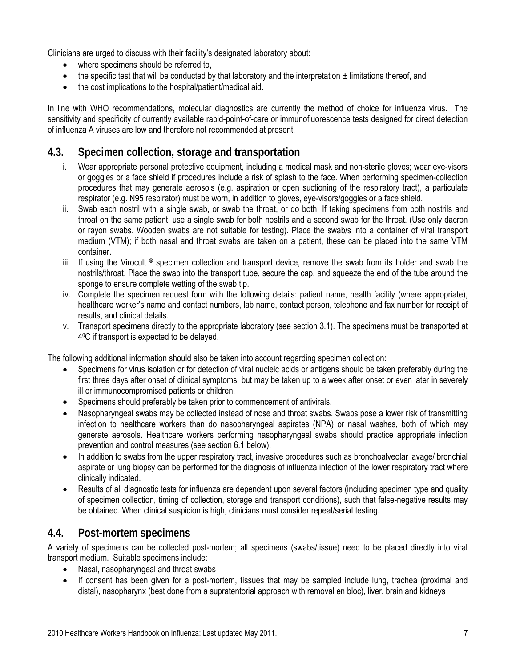Clinicians are urged to discuss with their facility's designated laboratory about:

- where specimens should be referred to,
- the specific test that will be conducted by that laboratory and the interpretation  $\pm$  limitations thereof, and
- the cost implications to the hospital/patient/medical aid.

In line with WHO recommendations, molecular diagnostics are currently the method of choice for influenza virus. The sensitivity and specificity of currently available rapid-point-of-care or immunofluorescence tests designed for direct detection of influenza A viruses are low and therefore not recommended at present.

### <span id="page-6-0"></span>**4.3. Specimen collection, storage and transportation**

- i. Wear appropriate personal protective equipment, including a medical mask and non-sterile gloves; wear eye-visors or goggles or a face shield if procedures include a risk of splash to the face. When performing specimen-collection procedures that may generate aerosols (e.g. aspiration or open suctioning of the respiratory tract), a particulate respirator (e.g. N95 respirator) must be worn, in addition to gloves, eye-visors/goggles or a face shield.
- ii. Swab each nostril with a single swab, or swab the throat, or do both. If taking specimens from both nostrils and throat on the same patient, use a single swab for both nostrils and a second swab for the throat. (Use only dacron or rayon swabs. Wooden swabs are not suitable for testing). Place the swab/s into a container of viral transport medium (VTM); if both nasal and throat swabs are taken on a patient, these can be placed into the same VTM container.
- iii. If using the Virocult ® specimen collection and transport device, remove the swab from its holder and swab the nostrils/throat. Place the swab into the transport tube, secure the cap, and squeeze the end of the tube around the sponge to ensure complete wetting of the swab tip.
- iv. Complete the specimen request form with the following details: patient name, health facility (where appropriate), healthcare worker's name and contact numbers, lab name, contact person, telephone and fax number for receipt of results, and clinical details.
- v. Transport specimens directly to the appropriate laboratory (see section 3.1). The specimens must be transported at 40C if transport is expected to be delayed.

The following additional information should also be taken into account regarding specimen collection:

- Specimens for virus isolation or for detection of viral nucleic acids or antigens should be taken preferably during the first three days after onset of clinical symptoms, but may be taken up to a week after onset or even later in severely ill or immunocompromised patients or children.
- Specimens should preferably be taken prior to commencement of antivirals.
- Nasopharyngeal swabs may be collected instead of nose and throat swabs. Swabs pose a lower risk of transmitting infection to healthcare workers than do nasopharyngeal aspirates (NPA) or nasal washes, both of which may generate aerosols. Healthcare workers performing nasopharyngeal swabs should practice appropriate infection prevention and control measures (see section 6.1 below).
- In addition to swabs from the upper respiratory tract, invasive procedures such as bronchoalveolar lavage/ bronchial aspirate or lung biopsy can be performed for the diagnosis of influenza infection of the lower respiratory tract where clinically indicated.
- Results of all diagnostic tests for influenza are dependent upon several factors (including specimen type and quality of specimen collection, timing of collection, storage and transport conditions), such that false-negative results may be obtained. When clinical suspicion is high, clinicians must consider repeat/serial testing.

### <span id="page-6-1"></span>**4.4. Post-mortem specimens**

A variety of specimens can be collected post-mortem; all specimens (swabs/tissue) need to be placed directly into viral transport medium. Suitable specimens include:

- Nasal, nasopharyngeal and throat swabs
- If consent has been given for a post-mortem, tissues that may be sampled include lung, trachea (proximal and distal), nasopharynx (best done from a supratentorial approach with removal en bloc), liver, brain and kidneys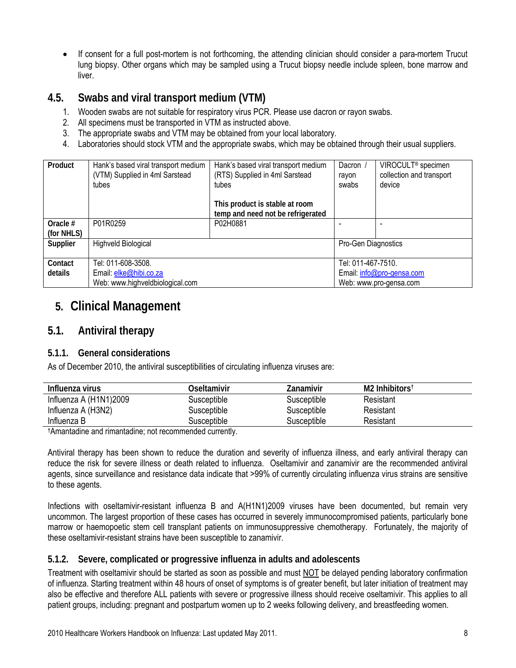If consent for a full post-mortem is not forthcoming, the attending clinician should consider a para-mortem Trucut lung biopsy. Other organs which may be sampled using a Trucut biopsy needle include spleen, bone marrow and liver.

### <span id="page-7-0"></span>**4.5. Swabs and viral transport medium (VTM)**

- 1. Wooden swabs are not suitable for respiratory virus PCR. Please use dacron or rayon swabs.
- 2. All specimens must be transported in VTM as instructed above.
- 3. The appropriate swabs and VTM may be obtained from your local laboratory.
- 4. Laboratories should stock VTM and the appropriate swabs, which may be obtained through their usual suppliers.

| Product                  | Hank's based viral transport medium<br>(VTM) Supplied in 4ml Sarstead<br>tubes | Hank's based viral transport medium<br>(RTS) Supplied in 4ml Sarstead<br>tubes | Dacron<br>rayon<br>swabs  | VIROCULT <sup>®</sup> specimen<br>collection and transport<br>device |
|--------------------------|--------------------------------------------------------------------------------|--------------------------------------------------------------------------------|---------------------------|----------------------------------------------------------------------|
|                          |                                                                                | This product is stable at room<br>temp and need not be refrigerated            |                           |                                                                      |
| Oracle $#$<br>(for NHLS) | P01R0259                                                                       | P02H0881                                                                       |                           |                                                                      |
| Supplier                 | <b>Highveld Biological</b>                                                     |                                                                                | Pro-Gen Diagnostics       |                                                                      |
| Contact                  | Tel: 011-608-3508.                                                             |                                                                                | Tel: 011-467-7510.        |                                                                      |
| details                  | Email: elke@hibi.co.za                                                         |                                                                                | Email: info@pro-gensa.com |                                                                      |
|                          | Web: www.highveldbiological.com                                                |                                                                                | Web: www.pro-gensa.com    |                                                                      |

# **5. Clinical Management**

### <span id="page-7-2"></span><span id="page-7-1"></span>**5.1. Antiviral therapy**

### <span id="page-7-3"></span>**5.1.1. General considerations**

As of December 2010, the antiviral susceptibilities of circulating influenza viruses are:

| Influenza virus        | Oseltamivir | Zanamivir   | M <sub>2</sub> Inhibitors <sup>t</sup> |
|------------------------|-------------|-------------|----------------------------------------|
| Influenza A (H1N1)2009 | Susceptible | Susceptible | Resistant                              |
| Influenza A (H3N2)     | Susceptible | Susceptible | Resistant                              |
| Influenza B            | Susceptible | Susceptible | Resistant                              |

**†**Amantadine and rimantadine; not recommended currently.

Antiviral therapy has been shown to reduce the duration and severity of influenza illness, and early antiviral therapy can reduce the risk for severe illness or death related to influenza. Oseltamivir and zanamivir are the recommended antiviral agents, since surveillance and resistance data indicate that >99% of currently circulating influenza virus strains are sensitive to these agents.

Infections with oseltamivir-resistant influenza B and A(H1N1)2009 viruses have been documented, but remain very uncommon. The largest proportion of these cases has occurred in severely immunocompromised patients, particularly bone marrow or haemopoetic stem cell transplant patients on immunosuppressive chemotherapy. Fortunately, the majority of these oseltamivir-resistant strains have been susceptible to zanamivir.

### <span id="page-7-4"></span>**5.1.2. Severe, complicated or progressive influenza in adults and adolescents**

Treatment with oseltamivir should be started as soon as possible and must NOT be delayed pending laboratory confirmation of influenza. Starting treatment within 48 hours of onset of symptoms is of greater benefit, but later initiation of treatment may also be effective and therefore ALL patients with severe or progressive illness should receive oseltamivir. This applies to all patient groups, including: pregnant and postpartum women up to 2 weeks following delivery, and breastfeeding women.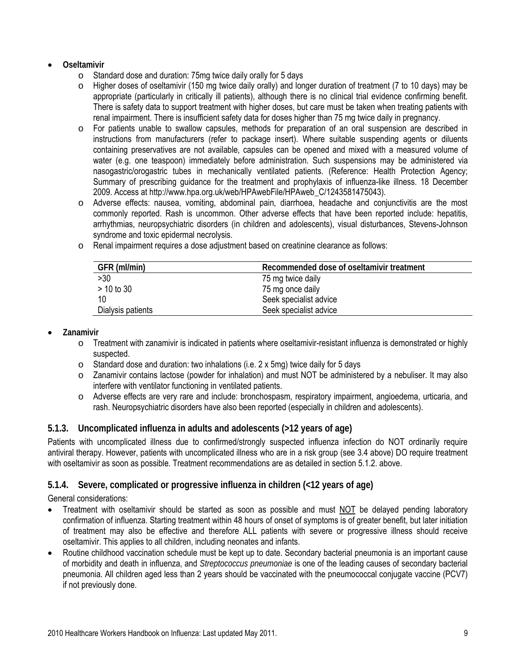- **Oseltamivir** 
	- o Standard dose and duration: 75mg twice daily orally for 5 days
	- $\circ$  Higher doses of oseltamivir (150 mg twice daily orally) and longer duration of treatment (7 to 10 days) may be appropriate (particularly in critically ill patients), although there is no clinical trial evidence confirming benefit. There is safety data to support treatment with higher doses, but care must be taken when treating patients with renal impairment. There is insufficient safety data for doses higher than 75 mg twice daily in pregnancy.
	- o For patients unable to swallow capsules, methods for preparation of an oral suspension are described in instructions from manufacturers (refer to package insert). Where suitable suspending agents or diluents containing preservatives are not available, capsules can be opened and mixed with a measured volume of water (e.g. one teaspoon) immediately before administration. Such suspensions may be administered via nasogastric/orogastric tubes in mechanically ventilated patients. (Reference: Health Protection Agency; Summary of prescribing guidance for the treatment and prophylaxis of influenza-like illness. 18 December 2009. Access at http://www.hpa.org.uk/web/HPAwebFile/HPAweb\_C/1243581475043).
	- o Adverse effects: nausea, vomiting, abdominal pain, diarrhoea, headache and conjunctivitis are the most commonly reported. Rash is uncommon. Other adverse effects that have been reported include: hepatitis, arrhythmias, neuropsychiatric disorders (in children and adolescents), visual disturbances, Stevens-Johnson syndrome and toxic epidermal necrolysis.
	- o Renal impairment requires a dose adjustment based on creatinine clearance as follows:

| GFR (ml/min)      | Recommended dose of oseltamivir treatment |
|-------------------|-------------------------------------------|
| >30               | 75 mg twice daily                         |
| $>$ 10 to 30      | 75 mg once daily                          |
|                   | Seek specialist advice                    |
| Dialysis patients | Seek specialist advice                    |

- **Zanamivir** 
	- $\circ$  Treatment with zanamivir is indicated in patients where oseltamivir-resistant influenza is demonstrated or highly suspected.
	- o Standard dose and duration: two inhalations (i.e. 2 x 5mg) twice daily for 5 days
	- o Zanamivir contains lactose (powder for inhalation) and must NOT be administered by a nebuliser. It may also interfere with ventilator functioning in ventilated patients.
	- o Adverse effects are very rare and include: bronchospasm, respiratory impairment, angioedema, urticaria, and rash. Neuropsychiatric disorders have also been reported (especially in children and adolescents).

### <span id="page-8-0"></span>**5.1.3. Uncomplicated influenza in adults and adolescents (>12 years of age)**

Patients with uncomplicated illness due to confirmed/strongly suspected influenza infection do NOT ordinarily require antiviral therapy. However, patients with uncomplicated illness who are in a risk group (see 3.4 above) DO require treatment with oseltamivir as soon as possible. Treatment recommendations are as detailed in section 5.1.2. above.

### <span id="page-8-1"></span>**5.1.4. Severe, complicated or progressive influenza in children (<12 years of age)**

General considerations:

- Treatment with oseltamivir should be started as soon as possible and must NOT be delayed pending laboratory confirmation of influenza. Starting treatment within 48 hours of onset of symptoms is of greater benefit, but later initiation of treatment may also be effective and therefore ALL patients with severe or progressive illness should receive oseltamivir. This applies to all children, including neonates and infants.
- Routine childhood vaccination schedule must be kept up to date. Secondary bacterial pneumonia is an important cause of morbidity and death in influenza, and *Streptococcus pneumoniae* is one of the leading causes of secondary bacterial pneumonia. All children aged less than 2 years should be vaccinated with the pneumococcal conjugate vaccine (PCV7) if not previously done.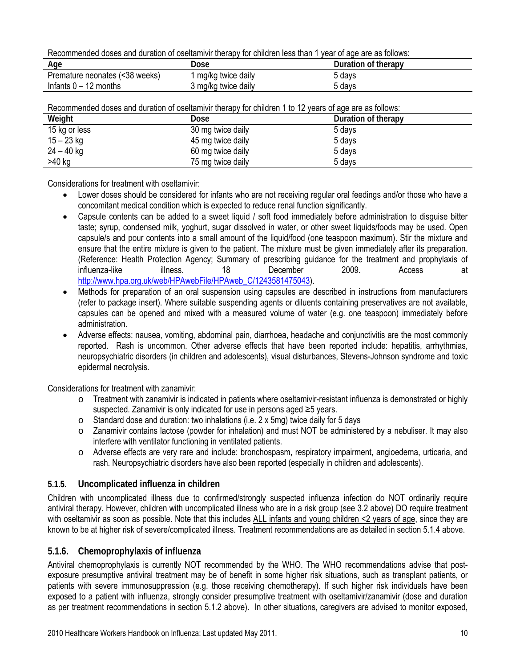Recommended doses and duration of oseltamivir therapy for children less than 1 year of age are as follows:

| Aae                            | Dose                | Duration of therapy |
|--------------------------------|---------------------|---------------------|
| Premature neonates (<38 weeks) | mg/kg twice daily   | 5 davs              |
| Infants $0 - 12$ months        | 3 mg/kg twice daily | davs د              |

| Recommended doses and duration of oseitamivir therapy for children 1 to 12 years of age are as follows: |                   |                     |  |
|---------------------------------------------------------------------------------------------------------|-------------------|---------------------|--|
| Weight                                                                                                  | Dose              | Duration of therapy |  |
| 15 kg or less                                                                                           | 30 mg twice daily | 5 days              |  |
| $15 - 23$ kg                                                                                            | 45 mg twice daily | 5 days              |  |
| $24 - 40$ kg                                                                                            | 60 mg twice daily | 5 days              |  |
| >40 kg                                                                                                  | 75 mg twice daily | 5 days              |  |

Recommended doses and duration of oseltamivir therapy for children 1 to 12 years of age are as follows:

Considerations for treatment with oseltamivir:

- Lower doses should be considered for infants who are not receiving regular oral feedings and/or those who have a concomitant medical condition which is expected to reduce renal function significantly.
- Capsule contents can be added to a sweet liquid / soft food immediately before administration to disguise bitter taste; syrup, condensed milk, yoghurt, sugar dissolved in water, or other sweet liquids/foods may be used. Open capsule/s and pour contents into a small amount of the liquid/food (one teaspoon maximum). Stir the mixture and ensure that the entire mixture is given to the patient. The mixture must be given immediately after its preparation. (Reference: Health Protection Agency; Summary of prescribing guidance for the treatment and prophylaxis of influenza-like illness. 18 December 2009. Access at [http://www.hpa.org.uk/web/HPAwebFile/HPAweb\\_C/1243581475043\)](http://www.hpa.org.uk/web/HPAwebFile/HPAweb_C/1243581475043).
- Methods for preparation of an oral suspension using capsules are described in instructions from manufacturers (refer to package insert). Where suitable suspending agents or diluents containing preservatives are not available, capsules can be opened and mixed with a measured volume of water (e.g. one teaspoon) immediately before administration.
- Adverse effects: nausea, vomiting, abdominal pain, diarrhoea, headache and conjunctivitis are the most commonly reported. Rash is uncommon. Other adverse effects that have been reported include: hepatitis, arrhythmias, neuropsychiatric disorders (in children and adolescents), visual disturbances, Stevens-Johnson syndrome and toxic epidermal necrolysis.

Considerations for treatment with zanamivir:

- o Treatment with zanamivir is indicated in patients where oseltamivir-resistant influenza is demonstrated or highly suspected. Zanamivir is only indicated for use in persons aged ≥5 years.
- o Standard dose and duration: two inhalations (i.e. 2 x 5mg) twice daily for 5 days
- o Zanamivir contains lactose (powder for inhalation) and must NOT be administered by a nebuliser. It may also interfere with ventilator functioning in ventilated patients.
- o Adverse effects are very rare and include: bronchospasm, respiratory impairment, angioedema, urticaria, and rash. Neuropsychiatric disorders have also been reported (especially in children and adolescents).

### <span id="page-9-0"></span>**5.1.5. Uncomplicated influenza in children**

Children with uncomplicated illness due to confirmed/strongly suspected influenza infection do NOT ordinarily require antiviral therapy. However, children with uncomplicated illness who are in a risk group (see 3.2 above) DO require treatment with oseltamivir as soon as possible. Note that this includes ALL infants and young children <2 years of age, since they are known to be at higher risk of severe/complicated illness. Treatment recommendations are as detailed in section 5.1.4 above.

### <span id="page-9-1"></span>**5.1.6. Chemoprophylaxis of influenza**

Antiviral chemoprophylaxis is currently NOT recommended by the WHO. The WHO recommendations advise that postexposure presumptive antiviral treatment may be of benefit in some higher risk situations, such as transplant patients, or patients with severe immunosuppression (e.g. those receiving chemotherapy). If such higher risk individuals have been exposed to a patient with influenza, strongly consider presumptive treatment with oseltamivir/zanamivir (dose and duration as per treatment recommendations in section 5.1.2 above). In other situations, caregivers are advised to monitor exposed,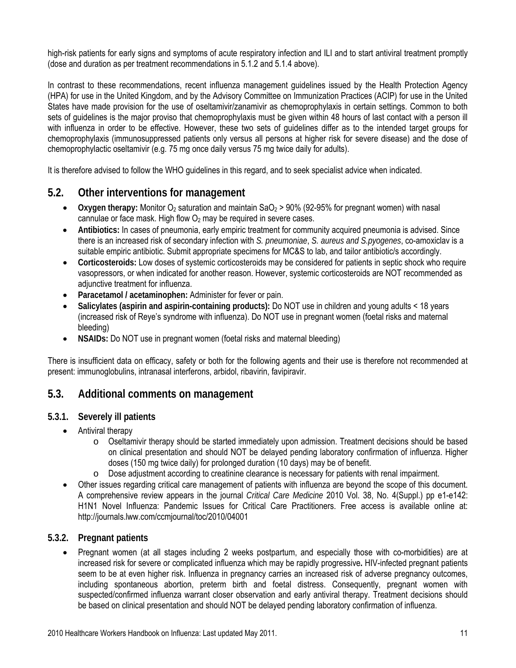high-risk patients for early signs and symptoms of acute respiratory infection and ILI and to start antiviral treatment promptly (dose and duration as per treatment recommendations in 5.1.2 and 5.1.4 above).

In contrast to these recommendations, recent influenza management guidelines issued by the Health Protection Agency (HPA) for use in the United Kingdom, and by the Advisory Committee on Immunization Practices (ACIP) for use in the United States have made provision for the use of oseltamivir/zanamivir as chemoprophylaxis in certain settings. Common to both sets of guidelines is the major proviso that chemoprophylaxis must be given within 48 hours of last contact with a person ill with influenza in order to be effective. However, these two sets of guidelines differ as to the intended target groups for chemoprophylaxis (immunosuppressed patients only versus all persons at higher risk for severe disease) and the dose of chemoprophylactic oseltamivir (e.g. 75 mg once daily versus 75 mg twice daily for adults).

It is therefore advised to follow the WHO guidelines in this regard, and to seek specialist advice when indicated.

### <span id="page-10-0"></span>**5.2. Other interventions for management**

- **•** Oxygen therapy: Monitor O<sub>2</sub> saturation and maintain SaO<sub>2</sub> > 90% (92-95% for pregnant women) with nasal cannulae or face mask. High flow  $O_2$  may be required in severe cases.
- **Antibiotics:** In cases of pneumonia, early empiric treatment for community acquired pneumonia is advised. Since there is an increased risk of secondary infection with *S. pneumoniae*, *S. aureus and S.pyogenes*, co-amoxiclav is a suitable empiric antibiotic. Submit appropriate specimens for MC&S to lab, and tailor antibiotic/s accordingly.
- **Corticosteroids:** Low doses of systemic corticosteroids may be considered for patients in septic shock who require vasopressors, or when indicated for another reason. However, systemic corticosteroids are NOT recommended as adjunctive treatment for influenza.
- **Paracetamol / acetaminophen:** Administer for fever or pain.
- **Salicylates (aspirin and aspirin-containing products):** Do NOT use in children and young adults < 18 years (increased risk of Reye's syndrome with influenza). Do NOT use in pregnant women (foetal risks and maternal bleeding)
- **NSAIDs:** Do NOT use in pregnant women (foetal risks and maternal bleeding)

There is insufficient data on efficacy, safety or both for the following agents and their use is therefore not recommended at present: immunoglobulins, intranasal interferons, arbidol, ribavirin, favipiravir.

### <span id="page-10-1"></span>**5.3. Additional comments on management**

#### <span id="page-10-2"></span>**5.3.1. Severely ill patients**

- Antiviral therapy
	- o Oseltamivir therapy should be started immediately upon admission. Treatment decisions should be based on clinical presentation and should NOT be delayed pending laboratory confirmation of influenza. Higher doses (150 mg twice daily) for prolonged duration (10 days) may be of benefit.
	- o Dose adjustment according to creatinine clearance is necessary for patients with renal impairment.
- Other issues regarding critical care management of patients with influenza are beyond the scope of this document. A comprehensive review appears in the journal *Critical Care Medicine* 2010 Vol. 38, No. 4(Suppl.) pp e1-e142: H1N1 Novel Influenza: Pandemic Issues for Critical Care Practitioners. Free access is available online at: http://journals.lww.com/ccmjournal/toc/2010/04001

#### <span id="page-10-3"></span>**5.3.2. Pregnant patients**

 Pregnant women (at all stages including 2 weeks postpartum, and especially those with co-morbidities) are at increased risk for severe or complicated influenza which may be rapidly progressive**.** HIV-infected pregnant patients seem to be at even higher risk. Influenza in pregnancy carries an increased risk of adverse pregnancy outcomes, including spontaneous abortion, preterm birth and foetal distress. Consequently, pregnant women with suspected/confirmed influenza warrant closer observation and early antiviral therapy. Treatment decisions should be based on clinical presentation and should NOT be delayed pending laboratory confirmation of influenza.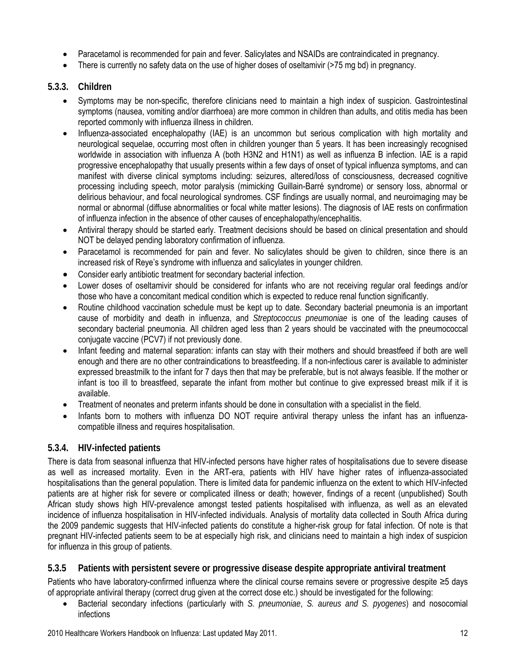- Paracetamol is recommended for pain and fever. Salicylates and NSAIDs are contraindicated in pregnancy.
- There is currently no safety data on the use of higher doses of oseltamivir (>75 mg bd) in pregnancy.

#### <span id="page-11-0"></span>**5.3.3. Children**

- Symptoms may be non-specific, therefore clinicians need to maintain a high index of suspicion. Gastrointestinal symptoms (nausea, vomiting and/or diarrhoea) are more common in children than adults, and otitis media has been reported commonly with influenza illness in children.
- Influenza-associated encephalopathy (IAE) is an uncommon but serious complication with high mortality and neurological sequelae, occurring most often in children younger than 5 years. It has been increasingly recognised worldwide in association with influenza A (both H3N2 and H1N1) as well as influenza B infection. IAE is a rapid progressive encephalopathy that usually presents within a few days of onset of typical influenza symptoms, and can manifest with diverse clinical symptoms including: seizures, altered/loss of consciousness, decreased cognitive processing including speech, motor paralysis (mimicking Guillain-Barré syndrome) or sensory loss, abnormal or delirious behaviour, and focal neurological syndromes. CSF findings are usually normal, and neuroimaging may be normal or abnormal (diffuse abnormalities or focal white matter lesions). The diagnosis of IAE rests on confirmation of influenza infection in the absence of other causes of encephalopathy/encephalitis.
- Antiviral therapy should be started early. Treatment decisions should be based on clinical presentation and should NOT be delayed pending laboratory confirmation of influenza.
- Paracetamol is recommended for pain and fever. No salicylates should be given to children, since there is an increased risk of Reye's syndrome with influenza and salicylates in younger children.
- Consider early antibiotic treatment for secondary bacterial infection.
- Lower doses of oseltamivir should be considered for infants who are not receiving regular oral feedings and/or those who have a concomitant medical condition which is expected to reduce renal function significantly.
- Routine childhood vaccination schedule must be kept up to date. Secondary bacterial pneumonia is an important cause of morbidity and death in influenza, and *Streptococcus pneumoniae* is one of the leading causes of secondary bacterial pneumonia. All children aged less than 2 years should be vaccinated with the pneumococcal conjugate vaccine (PCV7) if not previously done.
- Infant feeding and maternal separation: infants can stay with their mothers and should breastfeed if both are well enough and there are no other contraindications to breastfeeding. If a non-infectious carer is available to administer expressed breastmilk to the infant for 7 days then that may be preferable, but is not always feasible. If the mother or infant is too ill to breastfeed, separate the infant from mother but continue to give expressed breast milk if it is available.
- Treatment of neonates and preterm infants should be done in consultation with a specialist in the field.
- Infants born to mothers with influenza DO NOT require antiviral therapy unless the infant has an influenzacompatible illness and requires hospitalisation.

### <span id="page-11-1"></span>**5.3.4. HIV-infected patients**

There is data from seasonal influenza that HIV-infected persons have higher rates of hospitalisations due to severe disease as well as increased mortality. Even in the ART-era, patients with HIV have higher rates of influenza-associated hospitalisations than the general population. There is limited data for pandemic influenza on the extent to which HIV-infected patients are at higher risk for severe or complicated illness or death; however, findings of a recent (unpublished) South African study shows high HIV-prevalence amongst tested patients hospitalised with influenza, as well as an elevated incidence of influenza hospitalisation in HIV-infected individuals. Analysis of mortality data collected in South Africa during the 2009 pandemic suggests that HIV-infected patients do constitute a higher-risk group for fatal infection. Of note is that pregnant HIV-infected patients seem to be at especially high risk, and clinicians need to maintain a high index of suspicion for influenza in this group of patients.

### <span id="page-11-2"></span>**5.3.5 Patients with persistent severe or progressive disease despite appropriate antiviral treatment**

Patients who have laboratory-confirmed influenza where the clinical course remains severe or progressive despite ≥5 days of appropriate antiviral therapy (correct drug given at the correct dose etc.) should be investigated for the following:

 Bacterial secondary infections (particularly with *S. pneumoniae*, *S. aureus and S. pyogenes*) and nosocomial infections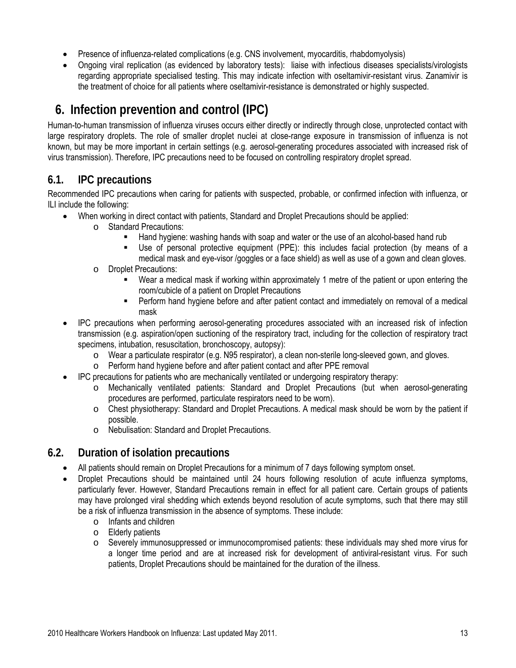- Presence of influenza-related complications (e.g. CNS involvement, myocarditis, rhabdomyolysis)
- Ongoing viral replication (as evidenced by laboratory tests): liaise with infectious diseases specialists/virologists regarding appropriate specialised testing. This may indicate infection with oseltamivir-resistant virus. Zanamivir is the treatment of choice for all patients where oseltamivir-resistance is demonstrated or highly suspected.

# **6. Infection prevention and control (IPC)**

<span id="page-12-0"></span>Human-to-human transmission of influenza viruses occurs either directly or indirectly through close, unprotected contact with large respiratory droplets. The role of smaller droplet nuclei at close-range exposure in transmission of influenza is not known, but may be more important in certain settings (e.g. aerosol-generating procedures associated with increased risk of virus transmission). Therefore, IPC precautions need to be focused on controlling respiratory droplet spread.

### <span id="page-12-1"></span>**6.1. IPC precautions**

Recommended IPC precautions when caring for patients with suspected, probable, or confirmed infection with influenza, or ILI include the following:

- When working in direct contact with patients, Standard and Droplet Precautions should be applied:
	- o Standard Precautions:
		- Hand hygiene: washing hands with soap and water or the use of an alcohol-based hand rub
		- Use of personal protective equipment (PPE): this includes facial protection (by means of a medical mask and eye-visor /goggles or a face shield) as well as use of a gown and clean gloves.
	- o Droplet Precautions:
		- Wear a medical mask if working within approximately 1 metre of the patient or upon entering the room/cubicle of a patient on Droplet Precautions
		- Perform hand hygiene before and after patient contact and immediately on removal of a medical mask
- IPC precautions when performing aerosol-generating procedures associated with an increased risk of infection transmission (e.g. aspiration/open suctioning of the respiratory tract, including for the collection of respiratory tract specimens, intubation, resuscitation, bronchoscopy, autopsy):
	- o Wear a particulate respirator (e.g. N95 respirator), a clean non-sterile long-sleeved gown, and gloves.
	- o Perform hand hygiene before and after patient contact and after PPE removal
- IPC precautions for patients who are mechanically ventilated or undergoing respiratory therapy:
	- o Mechanically ventilated patients: Standard and Droplet Precautions (but when aerosol-generating procedures are performed, particulate respirators need to be worn).
	- o Chest physiotherapy: Standard and Droplet Precautions. A medical mask should be worn by the patient if possible.
	- o Nebulisation: Standard and Droplet Precautions.

### <span id="page-12-2"></span>**6.2. Duration of isolation precautions**

- All patients should remain on Droplet Precautions for a minimum of 7 days following symptom onset.
- Droplet Precautions should be maintained until 24 hours following resolution of acute influenza symptoms, particularly fever. However, Standard Precautions remain in effect for all patient care. Certain groups of patients may have prolonged viral shedding which extends beyond resolution of acute symptoms, such that there may still be a risk of influenza transmission in the absence of symptoms. These include:
	- o Infants and children
	- o Elderly patients
	- o Severely immunosuppressed or immunocompromised patients: these individuals may shed more virus for a longer time period and are at increased risk for development of antiviral-resistant virus. For such patients, Droplet Precautions should be maintained for the duration of the illness.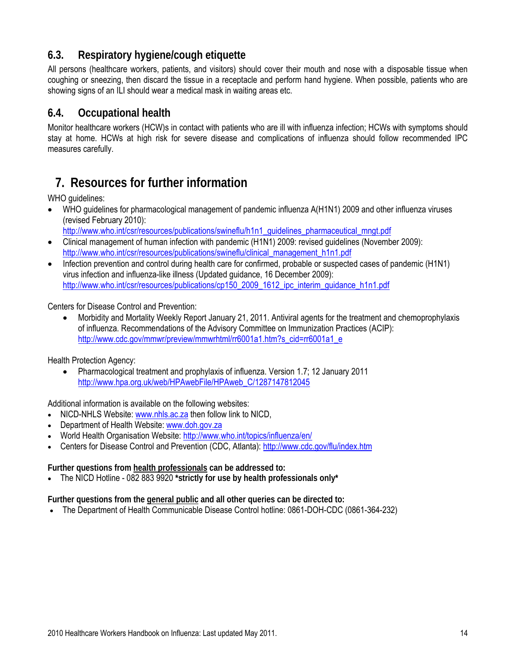# <span id="page-13-0"></span>**6.3. Respiratory hygiene/cough etiquette**

All persons (healthcare workers, patients, and visitors) should cover their mouth and nose with a disposable tissue when coughing or sneezing, then discard the tissue in a receptacle and perform hand hygiene. When possible, patients who are showing signs of an ILI should wear a medical mask in waiting areas etc.

### <span id="page-13-1"></span>**6.4. Occupational health**

Monitor healthcare workers (HCW)s in contact with patients who are ill with influenza infection; HCWs with symptoms should stay at home. HCWs at high risk for severe disease and complications of influenza should follow recommended IPC measures carefully.

# **7. Resources for further information**

<span id="page-13-2"></span>WHO guidelines:

- WHO guidelines for pharmacological management of pandemic influenza A(H1N1) 2009 and other influenza viruses (revised February 2010):
	- http://www.who.int/csr/resources/publications/swineflu/h1n1\_quidelines\_pharmaceutical\_mngt.pdf
- Clinical management of human infection with pandemic (H1N1) 2009: revised guidelines (November 2009): [http://www.who.int/csr/resources/publications/swineflu/clinical\\_management\\_h1n1.pdf](http://www.who.int/csr/resources/publications/swineflu/clinical_management_h1n1.pdf)
- Infection prevention and control during health care for confirmed, probable or suspected cases of pandemic (H1N1) virus infection and influenza-like illness (Updated guidance, 16 December 2009): [http://www.who.int/csr/resources/publications/cp150\\_2009\\_1612\\_ipc\\_interim\\_guidance\\_h1n1.pdf](http://www.who.int/csr/resources/publications/cp150_2009_1612_ipc_interim_guidance_h1n1.pdf)

Centers for Disease Control and Prevention:

 Morbidity and Mortality Weekly Report January 21, 2011. Antiviral agents for the treatment and chemoprophylaxis of influenza. Recommendations of the Advisory Committee on Immunization Practices (ACIP): [http://www.cdc.gov/mmwr/preview/mmwrhtml/rr6001a1.htm?s\\_cid=rr6001a1\\_e](http://www.cdc.gov/mmwr/preview/mmwrhtml/rr6001a1.htm?s_cid=rr6001a1_e)

Health Protection Agency:

 Pharmacological treatment and prophylaxis of influenza. Version 1.7; 12 January 2011 [http://www.hpa.org.uk/web/HPAwebFile/HPAweb\\_C/1287147812045](http://www.hpa.org.uk/web/HPAwebFile/HPAweb_C/1287147812045)

Additional information is available on the following websites:

- NICD-NHLS Website: [www.nhls.ac.za](http://www.nhls.ac.za/) then follow link to NICD,
- Department of Health Website: [www.doh.gov.za](http://www.doh.gov.za/)
- World Health Organisation Website: <http://www.who.int/topics/influenza/en/>
- Centers for Disease Control and Prevention (CDC, Atlanta):<http://www.cdc.gov/flu/index.htm>

**Further questions from health professionals can be addressed to:** 

The NICD Hotline - 082 883 9920 **\*strictly for use by health professionals only\***

**Further questions from the general public and all other queries can be directed to:** 

The Department of Health Communicable Disease Control hotline: 0861-DOH-CDC (0861-364-232)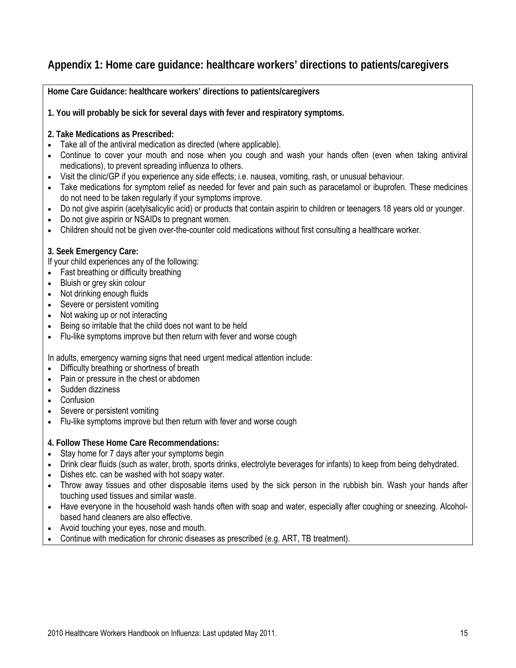# <span id="page-14-0"></span>**Appendix 1: Home care guidance: healthcare workers' directions to patients/caregivers**

**Home Care Guidance: healthcare workers' directions to patients/caregivers** 

**1. You will probably be sick for several days with fever and respiratory symptoms.** 

- **2. Take Medications as Prescribed:**
- Take all of the antiviral medication as directed (where applicable).
- Continue to cover your mouth and nose when you cough and wash your hands often (even when taking antiviral medications), to prevent spreading influenza to others.
- Visit the clinic/GP if you experience any side effects; i.e. nausea, vomiting, rash, or unusual behaviour.
- Take medications for symptom relief as needed for fever and pain such as paracetamol or ibuprofen. These medicines do not need to be taken regularly if your symptoms improve.
- Do not give aspirin (acetylsalicylic acid) or products that contain aspirin to children or teenagers 18 years old or younger.
- Do not give aspirin or NSAIDs to pregnant women.
- Children should not be given over-the-counter cold medications without first consulting a healthcare worker.

#### **3. Seek Emergency Care:**

If your child experiences any of the following:

- Fast breathing or difficulty breathing
- Bluish or grey skin colour
- Not drinking enough fluids
- Severe or persistent vomiting
- Not waking up or not interacting
- Being so irritable that the child does not want to be held
- Flu-like symptoms improve but then return with fever and worse cough

In adults, emergency warning signs that need urgent medical attention include:

- Difficulty breathing or shortness of breath
- Pain or pressure in the chest or abdomen
- Sudden dizziness
- Confusion
- Severe or persistent vomiting
- Flu-like symptoms improve but then return with fever and worse cough

**4. Follow These Home Care Recommendations:** 

- Stay home for 7 days after your symptoms begin
- Drink clear fluids (such as water, broth, sports drinks, electrolyte beverages for infants) to keep from being dehydrated.
- Dishes etc. can be washed with hot soapy water.
- Throw away tissues and other disposable items used by the sick person in the rubbish bin. Wash your hands after touching used tissues and similar waste.
- Have everyone in the household wash hands often with soap and water, especially after coughing or sneezing. Alcoholbased hand cleaners are also effective.
- Avoid touching your eyes, nose and mouth.
- Continue with medication for chronic diseases as prescribed (e.g. ART, TB treatment).